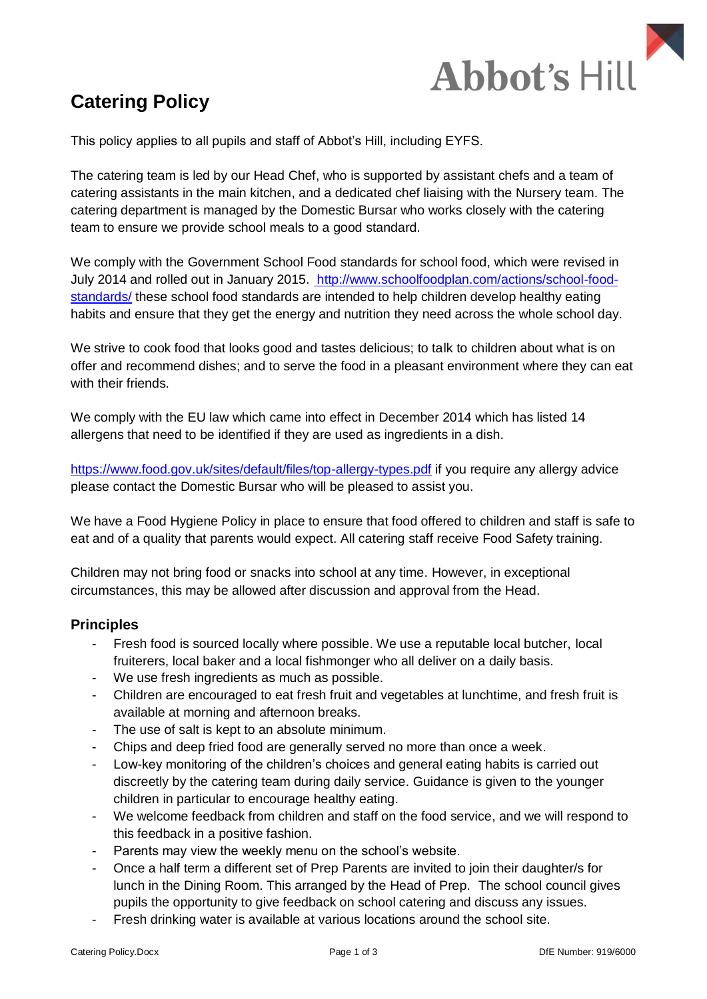

## **Catering Policy**

This policy applies to all pupils and staff of Abbot's Hill, including EYFS.

The catering team is led by our Head Chef, who is supported by assistant chefs and a team of catering assistants in the main kitchen, and a dedicated chef liaising with the Nursery team. The catering department is managed by the Domestic Bursar who works closely with the catering team to ensure we provide school meals to a good standard.

We comply with the Government School Food standards for school food, which were revised in July 2014 and rolled out in January 2015. [http://www.schoolfoodplan.com/actions/school-food](http://www.schoolfoodplan.com/actions/school-food-standards/)[standards/](http://www.schoolfoodplan.com/actions/school-food-standards/) these school food standards are intended to help children develop healthy eating habits and ensure that they get the energy and nutrition they need across the whole school day.

We strive to cook food that looks good and tastes delicious; to talk to children about what is on offer and recommend dishes; and to serve the food in a pleasant environment where they can eat with their friends.

We comply with the EU law which came into effect in December 2014 which has listed 14 allergens that need to be identified if they are used as ingredients in a dish.

<https://www.food.gov.uk/sites/default/files/top-allergy-types.pdf> if you require any allergy advice please contact the Domestic Bursar who will be pleased to assist you.

We have a Food Hygiene Policy in place to ensure that food offered to children and staff is safe to eat and of a quality that parents would expect. All catering staff receive Food Safety training.

Children may not bring food or snacks into school at any time. However, in exceptional circumstances, this may be allowed after discussion and approval from the Head.

## **Principles**

- Fresh food is sourced locally where possible. We use a reputable local butcher, local fruiterers, local baker and a local fishmonger who all deliver on a daily basis.
- We use fresh ingredients as much as possible.
- Children are encouraged to eat fresh fruit and vegetables at lunchtime, and fresh fruit is available at morning and afternoon breaks.
- The use of salt is kept to an absolute minimum.
- Chips and deep fried food are generally served no more than once a week.
- Low-key monitoring of the children's choices and general eating habits is carried out discreetly by the catering team during daily service. Guidance is given to the younger children in particular to encourage healthy eating.
- We welcome feedback from children and staff on the food service, and we will respond to this feedback in a positive fashion.
- Parents may view the weekly menu on the school's website.
- Once a half term a different set of Prep Parents are invited to join their daughter/s for lunch in the Dining Room. This arranged by the Head of Prep. The school council gives pupils the opportunity to give feedback on school catering and discuss any issues.
- Fresh drinking water is available at various locations around the school site.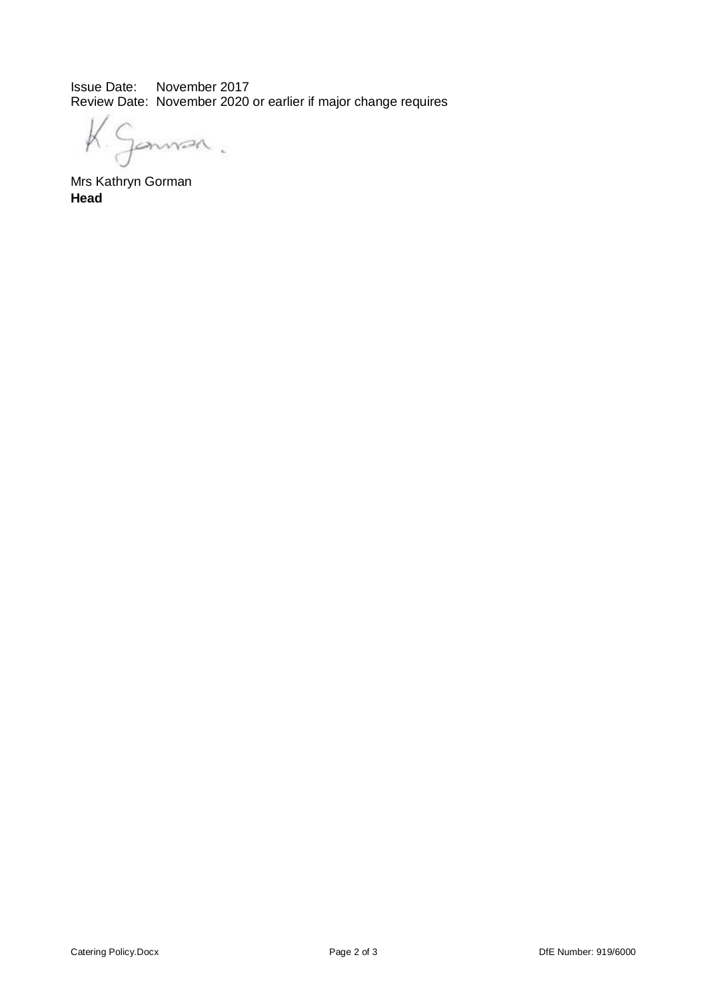Issue Date: November 2017 Review Date: November 2020 or earlier if major change requires

 $\cancel{k}$ Gannan.

Mrs Kathryn Gorman **Head**